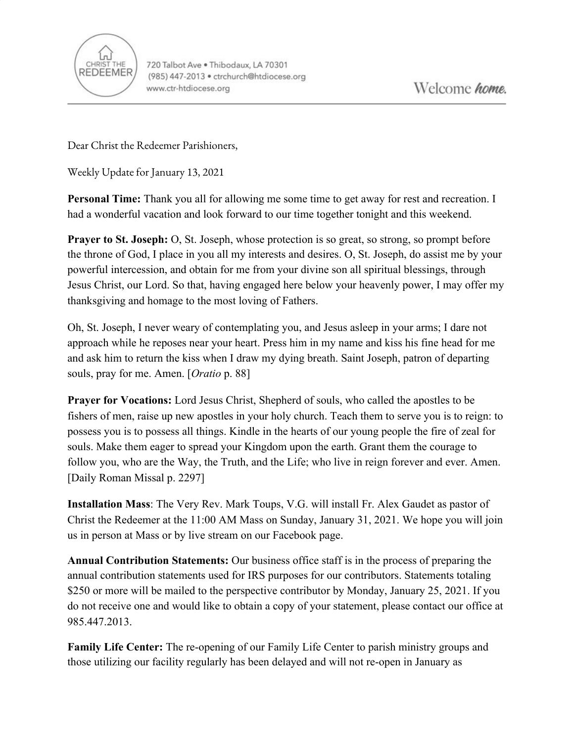

Dear Christ the Redeemer Parishioners,

Weekly Update for January 13, 2021

**Personal Time:** Thank you all for allowing me some time to get away for rest and recreation. I had a wonderful vacation and look forward to our time together tonight and this weekend.

**Prayer to St. Joseph:** O, St. Joseph, whose protection is so great, so strong, so prompt before the throne of God, I place in you all my interests and desires. O, St. Joseph, do assist me by your powerful intercession, and obtain for me from your divine son all spiritual blessings, through Jesus Christ, our Lord. So that, having engaged here below your heavenly power, I may offer my thanksgiving and homage to the most loving of Fathers.

Oh, St. Joseph, I never weary of contemplating you, and Jesus asleep in your arms; I dare not approach while he reposes near your heart. Press him in my name and kiss his fine head for me and ask him to return the kiss when I draw my dying breath. Saint Joseph, patron of departing souls, pray for me. Amen. [*Oratio* p. 88]

**Prayer for Vocations:** Lord Jesus Christ, Shepherd of souls, who called the apostles to be fishers of men, raise up new apostles in your holy church. Teach them to serve you is to reign: to possess you is to possess all things. Kindle in the hearts of our young people the fire of zeal for souls. Make them eager to spread your Kingdom upon the earth. Grant them the courage to follow you, who are the Way, the Truth, and the Life; who live in reign forever and ever. Amen. [Daily Roman Missal p. 2297]

**Installation Mass**: The Very Rev. Mark Toups, V.G. will install Fr. Alex Gaudet as pastor of Christ the Redeemer at the 11:00 AM Mass on Sunday, January 31, 2021. We hope you will join us in person at Mass or by live stream on our Facebook page.

**Annual Contribution Statements:** Our business office staff is in the process of preparing the annual contribution statements used for IRS purposes for our contributors. Statements totaling \$250 or more will be mailed to the perspective contributor by Monday, January 25, 2021. If you do not receive one and would like to obtain a copy of your statement, please contact our office at 985.447.2013.

**Family Life Center:** The re-opening of our Family Life Center to parish ministry groups and those utilizing our facility regularly has been delayed and will not re-open in January as